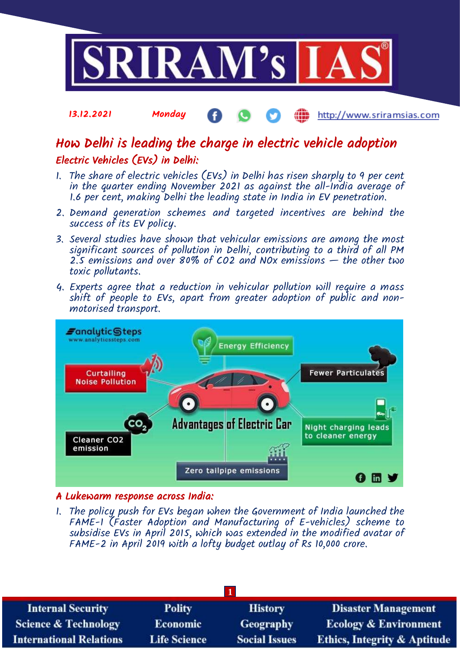

#### 13.12.2021 Monday http://www.sriramsias.com

# How Delhi is leading the charge in electric vehicle adoption Electric Vehicles (EVs) in Delhi:

- 1. The share of electric vehicles (EVs) in Delhi has risen sharply to 9 per cent in the quarter ending November 2021 as against the all-India average of 1.6 per cent, making Delhi the leading state in India in EV penetration.
- 2. Demand generation schemes and targeted incentives are behind the success of its EV policy.
- 3. Several studies have shown that vehicular emissions are among the most significant sources of pollution in Delhi, contributing to a third of all PM 2.5 emissions and over 80% of CO2 and NOx emissions — the other two toxic pollutants.
- 4. Experts agree that a reduction in vehicular pollution will require a mass shift of people to EVs, apart from greater adoption of public and nonmotorised transport.



# A Lukewarm response across India:

1. The policy push for EVs began when the Government of India launched the FAME-1 (Faster Adoption and Manufacturing of E-vehicles) scheme to subsidise EVs in April 2015, which was extended in the modified avatar of FAME-2 in April 2019 with a lofty budget outlay of Rs 10,000 crore.

| <b>Polity</b>       | <b>History</b>       | <b>Disaster Management</b>              |  |  |  |  |
|---------------------|----------------------|-----------------------------------------|--|--|--|--|
| <b>Economic</b>     | <b>Geography</b>     | <b>Ecology &amp; Environment</b>        |  |  |  |  |
| <b>Life Science</b> | <b>Social Issues</b> | <b>Ethics, Integrity &amp; Aptitude</b> |  |  |  |  |
|                     |                      |                                         |  |  |  |  |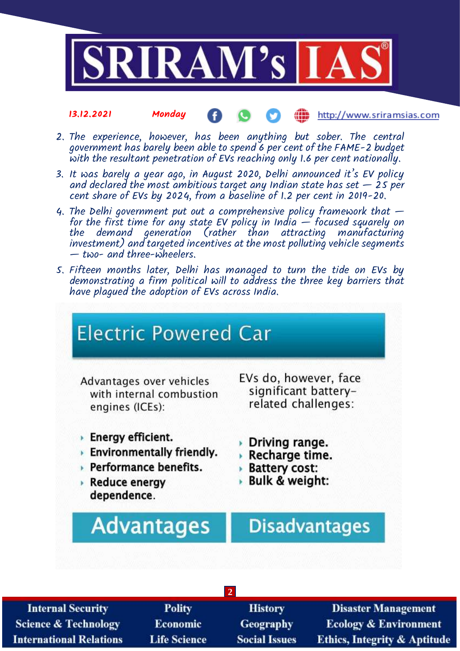

#### 13.12.2021 Monday http://www.sriramsias.com Æ

- 2. The experience, however, has been anything but sober. The central government has barely been able to spend 6 per cent of the FAME-2 budget with the resultant penetration of EVs reaching only 1.6 per cent nationally.
- 3. It was barely a year ago, in August 2020, Delhi announced it's EV policy and declared the most ambitious target any Indian state has set  $-$  25 per cent share of EVs by 2024, from a baseline of 1.2 per cent in 2019-20.
- 4. The Delhi government put out a comprehensive policy framework that  $$ for the first time for any state EV policy in India — focused squarely on the demand generation (rather than attracting manufacturing investment) and targeted incentives at the most polluting vehicle segments — two- and three-wheelers.
- 5. Fifteen months later, Delhi has managed to turn the tide on EVs by demonstrating a firm political will to address the three key barriers that have plagued the adoption of EVs across India.



| <b>Internal Security</b>        | <b>Polity</b>       | <b>History</b>       | <b>Disaster Management</b>              |  |  |  |
|---------------------------------|---------------------|----------------------|-----------------------------------------|--|--|--|
| <b>Science &amp; Technology</b> | <b>Economic</b>     | <b>Geography</b>     | <b>Ecology &amp; Environment</b>        |  |  |  |
| <b>International Relations</b>  | <b>Life Science</b> | <b>Social Issues</b> | <b>Ethics, Integrity &amp; Aptitude</b> |  |  |  |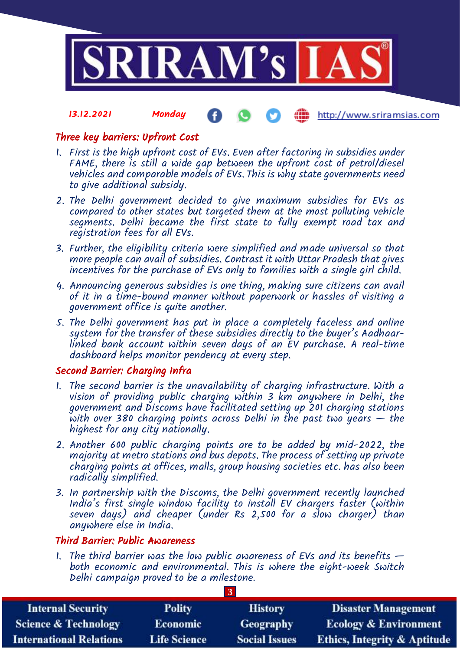

#### 13.12.2021 Monday http://www.sriramsias.com

## Three key barriers: Upfront Cost

- 1. First is the high upfront cost of EVs. Even after factoring in subsidies under FAME, there is still a wide gap between the upfront cost of petrol/diesel vehicles and comparable models of EVs. This is why state governments need to give additional subsidy.
- 2. The Delhi government decided to give maximum subsidies for EVs as compared to other states but targeted them at the most polluting vehicle segments. Delhi became the first state to fully exempt road tax and registration fees for all EVs.
- 3. Further, the eligibility criteria were simplified and made universal so that more people can avail of subsidies. Contrast it with Uttar Pradesh that gives incentives for the purchase of EVs only to families with a single girl child.
- 4. Announcing generous subsidies is one thing, making sure citizens can avail of it in a time-bound manner without paperwork or hassles of visiting a government office is quite another.
- 5. The Delhi government has put in place a completely faceless and online system for the transfer of these subsidies directly to the buyer's Aadhaarlinked bank account within seven days of an EV purchase. A real-time dashboard helps monitor pendency at every step.

# Second Barrier: Charging Infra

- 1. The second barrier is the unavailability of charging infrastructure. With a vision of providing public charging within 3 km anywhere in Delhi, the government and Discoms have facilitated setting up 201 charging stations with over 380 charging points across Delhi in the past two years  $-$  the highest for any city nationally.
- 2. Another 600 public charging points are to be added by mid-2022, the majority at metro stations and bus depots. The process of setting up private charging points at offices, malls, group housing societies etc. has also been radically simplified.
- 3. In partnership with the Discoms, the Delhi government recently launched India's first single window facility to install EV chargers faster (within seven days) and cheaper (under Rs 2,500 for a slow charger) than anywhere else in India.

### Third Barrier: Public Awareness

1. The third barrier was the low public awareness of EVs and its benefits  $$ both economic and environmental. This is where the eight-week Switch Delhi campaign proved to be a milestone.

**3**

| <b>Internal Security</b>        | <b>Polity</b>       | <b>History</b>       | <b>Disaster Management</b>              |  |  |
|---------------------------------|---------------------|----------------------|-----------------------------------------|--|--|
| <b>Science &amp; Technology</b> | <b>Economic</b>     | <b>Geography</b>     | <b>Ecology &amp; Environment</b>        |  |  |
| <b>International Relations</b>  | <b>Life Science</b> | <b>Social Issues</b> | <b>Ethics, Integrity &amp; Aptitude</b> |  |  |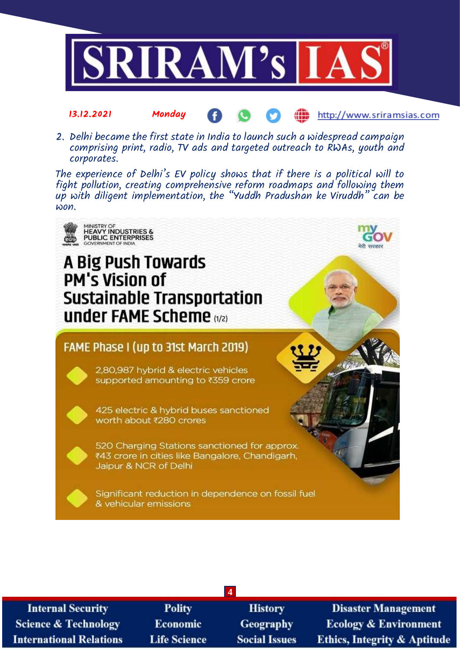

2. Delhi became the first state in India to launch such a widespread campaign comprising print, radio, TV ads and targeted outreach to RWAs, youth and corporates.

13.12.2021 Monday

The experience of Delhi's EV policy shows that if there is a political will to fight pollution, creating comprehensive reform roadmaps and following them up with diligent implementation, the "Yuddh Pradushan ke Viruddh" can be won.



| <b>Internal Security</b>        |
|---------------------------------|
| <b>Science &amp; Technology</b> |
| <b>International Relations</b>  |

**Polity** Economic **Life Science** 

**History Geography Social Issues** 

**4**

**Disaster Management Ecology & Environment Ethics, Integrity & Aptitude** 

http://www.sriramsias.com